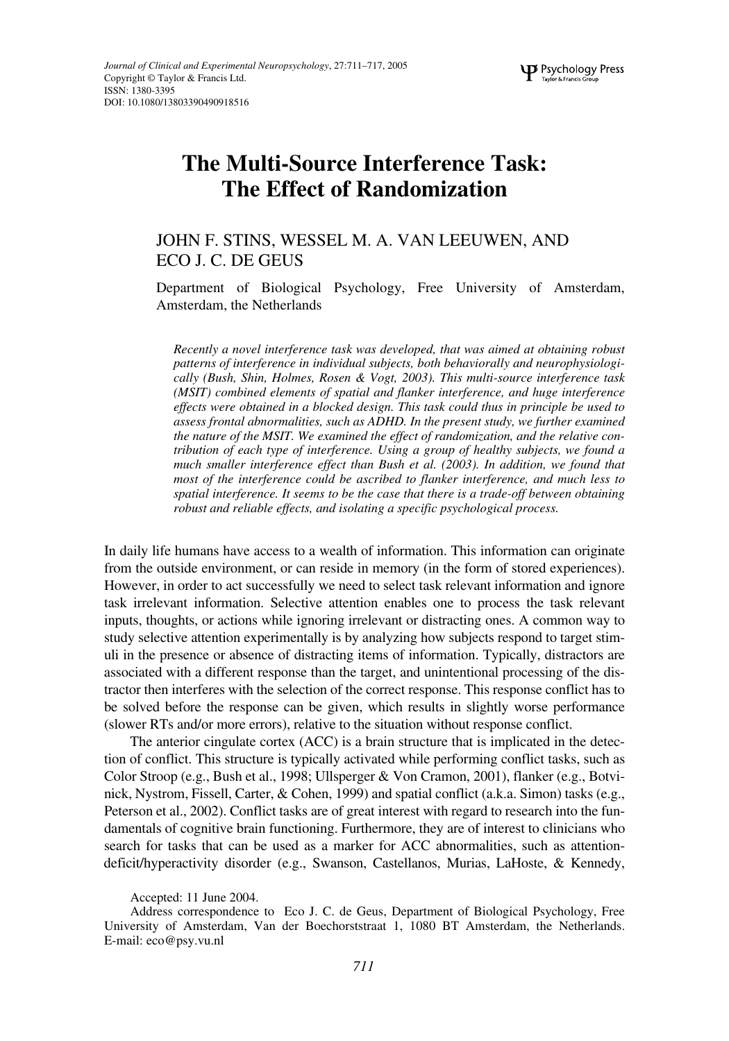# **The Multi-Source Interference Task: The Effect of Randomization**

JOHN F. STINS, WESSEL M. A. VAN LEEUWEN, AND ECO J. C. DE GEUS

Department of Biological Psychology, Free University of Amsterdam, Amsterdam, the Netherlands

*Recently a novel interference task was developed, that was aimed at obtaining robust patterns of interference in individual subjects, both behaviorally and neurophysiologically (Bush, Shin, Holmes, Rosen & Vogt, 2003). This multi-source interference task (MSIT) combined elements of spatial and flanker interference, and huge interference effects were obtained in a blocked design. This task could thus in principle be used to assess frontal abnormalities, such as ADHD. In the present study, we further examined the nature of the MSIT. We examined the effect of randomization, and the relative contribution of each type of interference. Using a group of healthy subjects, we found a much smaller interference effect than Bush et al. (2003). In addition, we found that most of the interference could be ascribed to flanker interference, and much less to spatial interference. It seems to be the case that there is a trade-off between obtaining robust and reliable effects, and isolating a specific psychological process.*

In daily life humans have access to a wealth of information. This information can originate from the outside environment, or can reside in memory (in the form of stored experiences). However, in order to act successfully we need to select task relevant information and ignore task irrelevant information. Selective attention enables one to process the task relevant inputs, thoughts, or actions while ignoring irrelevant or distracting ones. A common way to study selective attention experimentally is by analyzing how subjects respond to target stimuli in the presence or absence of distracting items of information. Typically, distractors are associated with a different response than the target, and unintentional processing of the distractor then interferes with the selection of the correct response. This response conflict has to be solved before the response can be given, which results in slightly worse performance (slower RTs and/or more errors), relative to the situation without response conflict.

The anterior cingulate cortex (ACC) is a brain structure that is implicated in the detection of conflict. This structure is typically activated while performing conflict tasks, such as Color Stroop (e.g., Bush et al., 1998; Ullsperger & Von Cramon, 2001), flanker (e.g., Botvinick, Nystrom, Fissell, Carter, & Cohen, 1999) and spatial conflict (a.k.a. Simon) tasks (e.g., Peterson et al., 2002). Conflict tasks are of great interest with regard to research into the fundamentals of cognitive brain functioning. Furthermore, they are of interest to clinicians who search for tasks that can be used as a marker for ACC abnormalities, such as attentiondeficit/hyperactivity disorder (e.g., Swanson, Castellanos, Murias, LaHoste, & Kennedy,

Accepted: 11 June 2004.

Address correspondence to Eco J. C. de Geus, Department of Biological Psychology, Free University of Amsterdam, Van der Boechorststraat 1, 1080 BT Amsterdam, the Netherlands. E-mail: eco@psy.vu.nl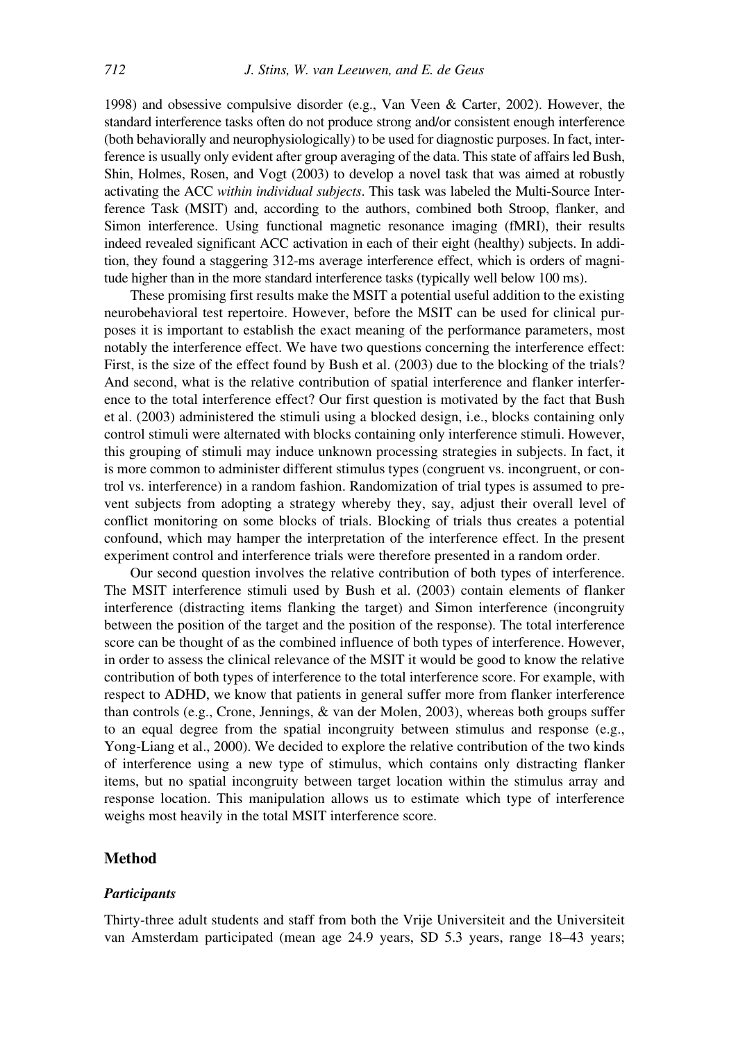1998) and obsessive compulsive disorder (e.g., Van Veen & Carter, 2002). However, the standard interference tasks often do not produce strong and/or consistent enough interference (both behaviorally and neurophysiologically) to be used for diagnostic purposes. In fact, interference is usually only evident after group averaging of the data. This state of affairs led Bush, Shin, Holmes, Rosen, and Vogt (2003) to develop a novel task that was aimed at robustly activating the ACC *within individual subjects*. This task was labeled the Multi-Source Interference Task (MSIT) and, according to the authors, combined both Stroop, flanker, and Simon interference. Using functional magnetic resonance imaging (fMRI), their results indeed revealed significant ACC activation in each of their eight (healthy) subjects. In addition, they found a staggering 312-ms average interference effect, which is orders of magnitude higher than in the more standard interference tasks (typically well below 100 ms).

These promising first results make the MSIT a potential useful addition to the existing neurobehavioral test repertoire. However, before the MSIT can be used for clinical purposes it is important to establish the exact meaning of the performance parameters, most notably the interference effect. We have two questions concerning the interference effect: First, is the size of the effect found by Bush et al. (2003) due to the blocking of the trials? And second, what is the relative contribution of spatial interference and flanker interference to the total interference effect? Our first question is motivated by the fact that Bush et al. (2003) administered the stimuli using a blocked design, i.e., blocks containing only control stimuli were alternated with blocks containing only interference stimuli. However, this grouping of stimuli may induce unknown processing strategies in subjects. In fact, it is more common to administer different stimulus types (congruent vs. incongruent, or control vs. interference) in a random fashion. Randomization of trial types is assumed to prevent subjects from adopting a strategy whereby they, say, adjust their overall level of conflict monitoring on some blocks of trials. Blocking of trials thus creates a potential confound, which may hamper the interpretation of the interference effect. In the present experiment control and interference trials were therefore presented in a random order.

Our second question involves the relative contribution of both types of interference. The MSIT interference stimuli used by Bush et al. (2003) contain elements of flanker interference (distracting items flanking the target) and Simon interference (incongruity between the position of the target and the position of the response). The total interference score can be thought of as the combined influence of both types of interference. However, in order to assess the clinical relevance of the MSIT it would be good to know the relative contribution of both types of interference to the total interference score. For example, with respect to ADHD, we know that patients in general suffer more from flanker interference than controls (e.g., Crone, Jennings, & van der Molen, 2003), whereas both groups suffer to an equal degree from the spatial incongruity between stimulus and response (e.g., Yong-Liang et al., 2000). We decided to explore the relative contribution of the two kinds of interference using a new type of stimulus, which contains only distracting flanker items, but no spatial incongruity between target location within the stimulus array and response location. This manipulation allows us to estimate which type of interference weighs most heavily in the total MSIT interference score.

#### **Method**

#### *Participants*

Thirty-three adult students and staff from both the Vrije Universiteit and the Universiteit van Amsterdam participated (mean age 24.9 years, SD 5.3 years, range 18–43 years;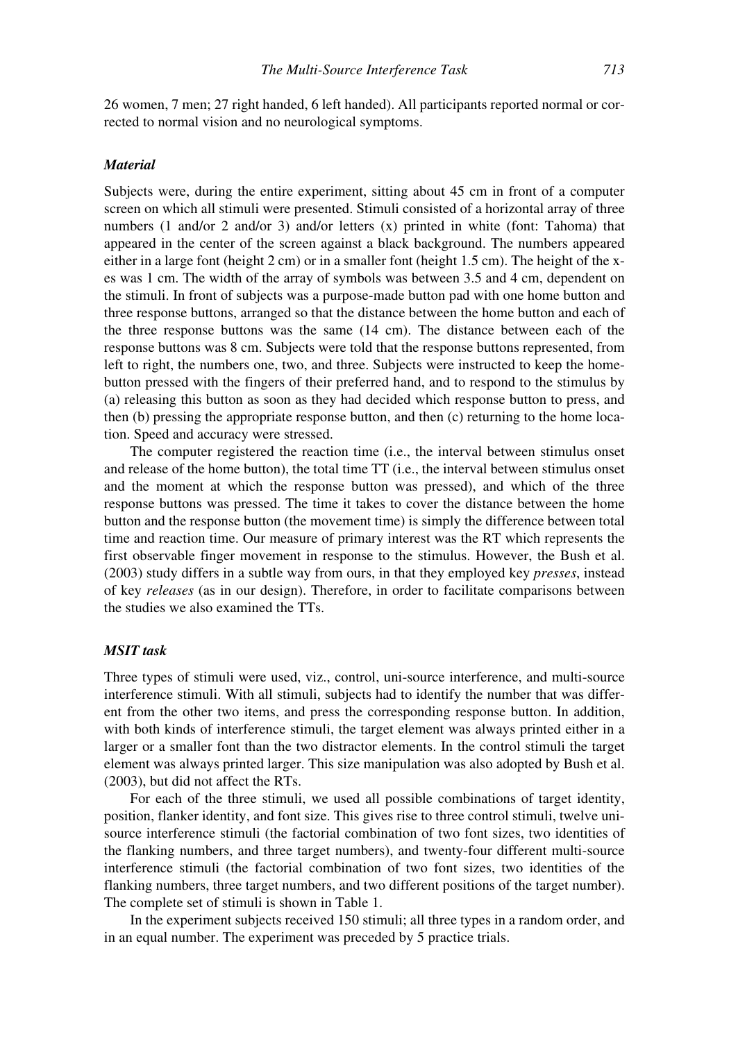26 women, 7 men; 27 right handed, 6 left handed). All participants reported normal or corrected to normal vision and no neurological symptoms.

#### *Material*

Subjects were, during the entire experiment, sitting about 45 cm in front of a computer screen on which all stimuli were presented. Stimuli consisted of a horizontal array of three numbers (1 and/or 2 and/or 3) and/or letters (x) printed in white (font: Tahoma) that appeared in the center of the screen against a black background. The numbers appeared either in a large font (height  $2 \text{ cm}$ ) or in a smaller font (height  $1.5 \text{ cm}$ ). The height of the xes was 1 cm. The width of the array of symbols was between 3.5 and 4 cm, dependent on the stimuli. In front of subjects was a purpose-made button pad with one home button and three response buttons, arranged so that the distance between the home button and each of the three response buttons was the same (14 cm). The distance between each of the response buttons was 8 cm. Subjects were told that the response buttons represented, from left to right, the numbers one, two, and three. Subjects were instructed to keep the homebutton pressed with the fingers of their preferred hand, and to respond to the stimulus by (a) releasing this button as soon as they had decided which response button to press, and then (b) pressing the appropriate response button, and then (c) returning to the home location. Speed and accuracy were stressed.

The computer registered the reaction time (i.e., the interval between stimulus onset and release of the home button), the total time TT (i.e., the interval between stimulus onset and the moment at which the response button was pressed), and which of the three response buttons was pressed. The time it takes to cover the distance between the home button and the response button (the movement time) is simply the difference between total time and reaction time. Our measure of primary interest was the RT which represents the first observable finger movement in response to the stimulus. However, the Bush et al. (2003) study differs in a subtle way from ours, in that they employed key *presses*, instead of key *releases* (as in our design). Therefore, in order to facilitate comparisons between the studies we also examined the TTs.

#### *MSIT task*

Three types of stimuli were used, viz., control, uni-source interference, and multi-source interference stimuli. With all stimuli, subjects had to identify the number that was different from the other two items, and press the corresponding response button. In addition, with both kinds of interference stimuli, the target element was always printed either in a larger or a smaller font than the two distractor elements. In the control stimuli the target element was always printed larger. This size manipulation was also adopted by Bush et al. (2003), but did not affect the RTs.

For each of the three stimuli, we used all possible combinations of target identity, position, flanker identity, and font size. This gives rise to three control stimuli, twelve unisource interference stimuli (the factorial combination of two font sizes, two identities of the flanking numbers, and three target numbers), and twenty-four different multi-source interference stimuli (the factorial combination of two font sizes, two identities of the flanking numbers, three target numbers, and two different positions of the target number). The complete set of stimuli is shown in Table 1.

In the experiment subjects received 150 stimuli; all three types in a random order, and in an equal number. The experiment was preceded by 5 practice trials.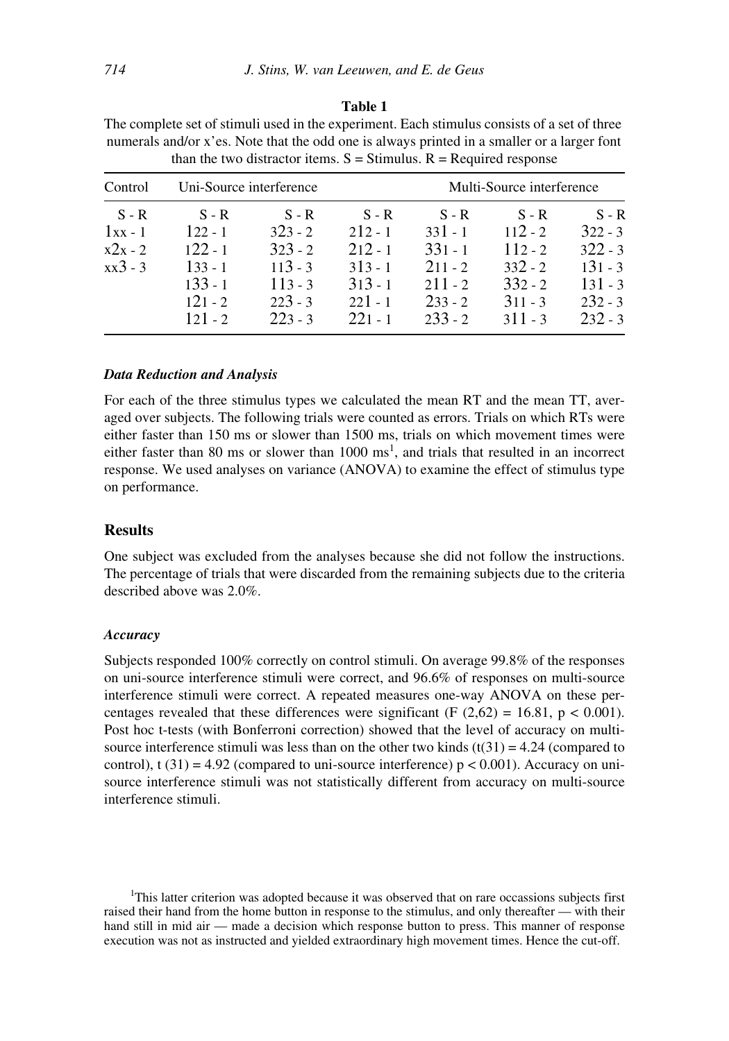# **Table 1**

The complete set of stimuli used in the experiment. Each stimulus consists of a set of three numerals and/or x'es. Note that the odd one is always printed in a smaller or a larger font than the two distractor items.  $S =$  Stimulus.  $R =$  Required response

| Control                                        | Uni-Source interference                                                               |                                                                                       | Multi-Source interference                                                             |                                                                                       |                                                                                       |                                                                                       |
|------------------------------------------------|---------------------------------------------------------------------------------------|---------------------------------------------------------------------------------------|---------------------------------------------------------------------------------------|---------------------------------------------------------------------------------------|---------------------------------------------------------------------------------------|---------------------------------------------------------------------------------------|
| $S - R$<br>$1xx - 1$<br>$x2x - 2$<br>$xx3 - 3$ | $S - R$<br>$122 - 1$<br>$122 - 1$<br>$133 - 1$<br>$133 - 1$<br>$121 - 2$<br>$121 - 2$ | $S - R$<br>$323 - 2$<br>$323 - 2$<br>$113 - 3$<br>$113 - 3$<br>$223 - 3$<br>$223 - 3$ | $S - R$<br>$212 - 1$<br>$212 - 1$<br>$313 - 1$<br>$313 - 1$<br>$221 - 1$<br>$221 - 1$ | $S - R$<br>$331 - 1$<br>$331 - 1$<br>$211 - 2$<br>$211 - 2$<br>$233 - 2$<br>$233 - 2$ | $S - R$<br>$112 - 2$<br>$112 - 2$<br>$332 - 2$<br>$332 - 2$<br>$311 - 3$<br>$311 - 3$ | $S - R$<br>$322 - 3$<br>$322 - 3$<br>$131 - 3$<br>$131 - 3$<br>$232 - 3$<br>$232 - 3$ |

#### *Data Reduction and Analysis*

For each of the three stimulus types we calculated the mean RT and the mean TT, averaged over subjects. The following trials were counted as errors. Trials on which RTs were either faster than 150 ms or slower than 1500 ms, trials on which movement times were either faster than 80 ms or slower than  $1000 \text{ ms}^1$ , and trials that resulted in an incorrect response. We used analyses on variance (ANOVA) to examine the effect of stimulus type on performance.

# **Results**

One subject was excluded from the analyses because she did not follow the instructions. The percentage of trials that were discarded from the remaining subjects due to the criteria described above was 2.0%.

## *Accuracy*

Subjects responded 100% correctly on control stimuli. On average 99.8% of the responses on uni-source interference stimuli were correct, and 96.6% of responses on multi-source interference stimuli were correct. A repeated measures one-way ANOVA on these percentages revealed that these differences were significant (F  $(2,62) = 16.81$ , p < 0.001). Post hoc t-tests (with Bonferroni correction) showed that the level of accuracy on multisource interference stimuli was less than on the other two kinds  $(t(31) = 4.24$  (compared to control), t  $(31) = 4.92$  (compared to uni-source interference)  $p < 0.001$ ). Accuracy on unisource interference stimuli was not statistically different from accuracy on multi-source interference stimuli.

<sup>1</sup>This latter criterion was adopted because it was observed that on rare occassions subjects first raised their hand from the home button in response to the stimulus, and only thereafter — with their hand still in mid air — made a decision which response button to press. This manner of response execution was not as instructed and yielded extraordinary high movement times. Hence the cut-off.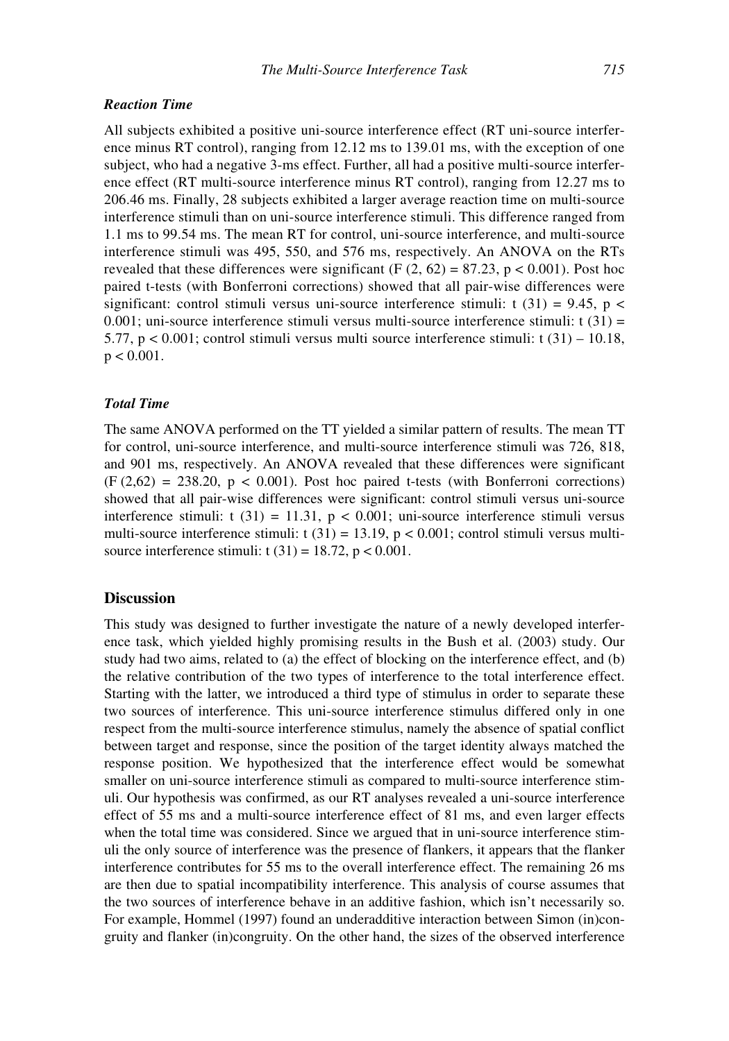# *Reaction Time*

All subjects exhibited a positive uni-source interference effect (RT uni-source interference minus RT control), ranging from 12.12 ms to 139.01 ms, with the exception of one subject, who had a negative 3-ms effect. Further, all had a positive multi-source interference effect (RT multi-source interference minus RT control), ranging from 12.27 ms to 206.46 ms. Finally, 28 subjects exhibited a larger average reaction time on multi-source interference stimuli than on uni-source interference stimuli. This difference ranged from 1.1 ms to 99.54 ms. The mean RT for control, uni-source interference, and multi-source interference stimuli was 495, 550, and 576 ms, respectively. An ANOVA on the RTs revealed that these differences were significant (F  $(2, 62) = 87.23$ , p < 0.001). Post hoc paired t-tests (with Bonferroni corrections) showed that all pair-wise differences were significant: control stimuli versus uni-source interference stimuli:  $t(31) = 9.45$ ,  $p <$ 0.001; uni-source interference stimuli versus multi-source interference stimuli:  $t(31) =$ 5.77, p < 0.001; control stimuli versus multi source interference stimuli: t (31) – 10.18,  $p < 0.001$ .

#### *Total Time*

The same ANOVA performed on the TT yielded a similar pattern of results. The mean TT for control, uni-source interference, and multi-source interference stimuli was 726, 818, and 901 ms, respectively. An ANOVA revealed that these differences were significant  $(F (2,62) = 238.20, p < 0.001)$ . Post hoc paired t-tests (with Bonferroni corrections) showed that all pair-wise differences were significant: control stimuli versus uni-source interference stimuli:  $t(31) = 11.31$ ,  $p < 0.001$ ; uni-source interference stimuli versus multi-source interference stimuli:  $t(31) = 13.19$ ,  $p < 0.001$ ; control stimuli versus multisource interference stimuli:  $t(31) = 18.72$ ,  $p < 0.001$ .

# **Discussion**

This study was designed to further investigate the nature of a newly developed interference task, which yielded highly promising results in the Bush et al. (2003) study. Our study had two aims, related to (a) the effect of blocking on the interference effect, and (b) the relative contribution of the two types of interference to the total interference effect. Starting with the latter, we introduced a third type of stimulus in order to separate these two sources of interference. This uni-source interference stimulus differed only in one respect from the multi-source interference stimulus, namely the absence of spatial conflict between target and response, since the position of the target identity always matched the response position. We hypothesized that the interference effect would be somewhat smaller on uni-source interference stimuli as compared to multi-source interference stimuli. Our hypothesis was confirmed, as our RT analyses revealed a uni-source interference effect of 55 ms and a multi-source interference effect of 81 ms, and even larger effects when the total time was considered. Since we argued that in uni-source interference stimuli the only source of interference was the presence of flankers, it appears that the flanker interference contributes for 55 ms to the overall interference effect. The remaining 26 ms are then due to spatial incompatibility interference. This analysis of course assumes that the two sources of interference behave in an additive fashion, which isn't necessarily so. For example, Hommel (1997) found an underadditive interaction between Simon (in)congruity and flanker (in)congruity. On the other hand, the sizes of the observed interference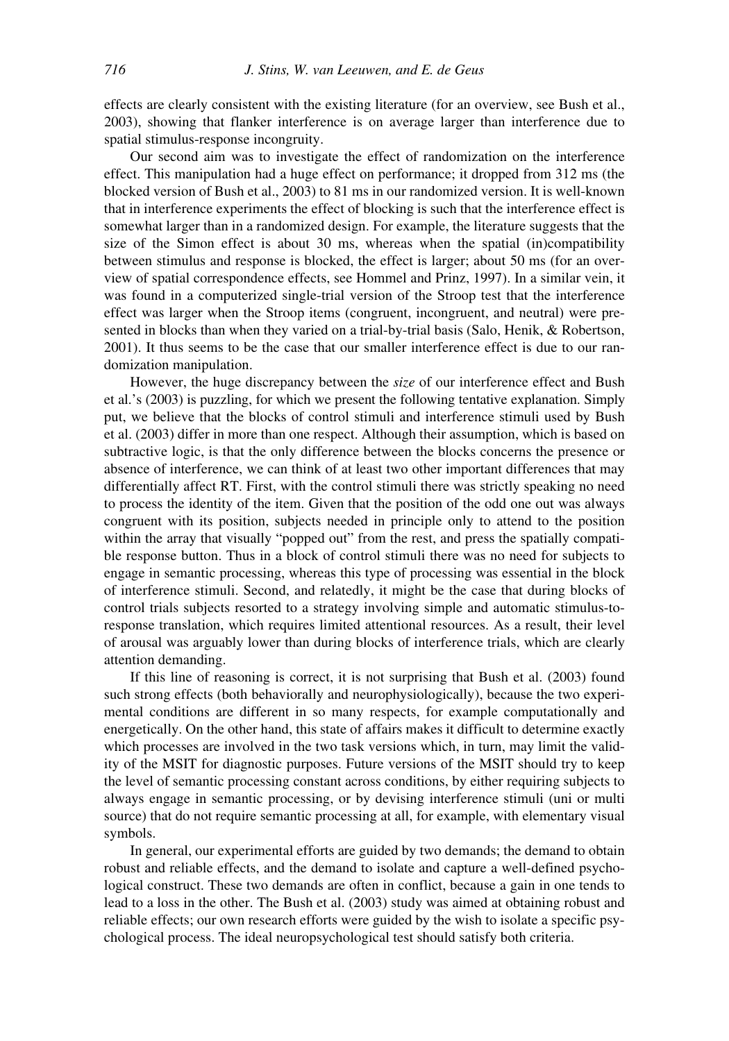effects are clearly consistent with the existing literature (for an overview, see Bush et al., 2003), showing that flanker interference is on average larger than interference due to spatial stimulus-response incongruity.

Our second aim was to investigate the effect of randomization on the interference effect. This manipulation had a huge effect on performance; it dropped from 312 ms (the blocked version of Bush et al., 2003) to 81 ms in our randomized version. It is well-known that in interference experiments the effect of blocking is such that the interference effect is somewhat larger than in a randomized design. For example, the literature suggests that the size of the Simon effect is about 30 ms, whereas when the spatial (in)compatibility between stimulus and response is blocked, the effect is larger; about 50 ms (for an overview of spatial correspondence effects, see Hommel and Prinz, 1997). In a similar vein, it was found in a computerized single-trial version of the Stroop test that the interference effect was larger when the Stroop items (congruent, incongruent, and neutral) were presented in blocks than when they varied on a trial-by-trial basis (Salo, Henik, & Robertson, 2001). It thus seems to be the case that our smaller interference effect is due to our randomization manipulation.

However, the huge discrepancy between the *size* of our interference effect and Bush et al.'s (2003) is puzzling, for which we present the following tentative explanation. Simply put, we believe that the blocks of control stimuli and interference stimuli used by Bush et al. (2003) differ in more than one respect. Although their assumption, which is based on subtractive logic, is that the only difference between the blocks concerns the presence or absence of interference, we can think of at least two other important differences that may differentially affect RT. First, with the control stimuli there was strictly speaking no need to process the identity of the item. Given that the position of the odd one out was always congruent with its position, subjects needed in principle only to attend to the position within the array that visually "popped out" from the rest, and press the spatially compatible response button. Thus in a block of control stimuli there was no need for subjects to engage in semantic processing, whereas this type of processing was essential in the block of interference stimuli. Second, and relatedly, it might be the case that during blocks of control trials subjects resorted to a strategy involving simple and automatic stimulus-toresponse translation, which requires limited attentional resources. As a result, their level of arousal was arguably lower than during blocks of interference trials, which are clearly attention demanding.

If this line of reasoning is correct, it is not surprising that Bush et al. (2003) found such strong effects (both behaviorally and neurophysiologically), because the two experimental conditions are different in so many respects, for example computationally and energetically. On the other hand, this state of affairs makes it difficult to determine exactly which processes are involved in the two task versions which, in turn, may limit the validity of the MSIT for diagnostic purposes. Future versions of the MSIT should try to keep the level of semantic processing constant across conditions, by either requiring subjects to always engage in semantic processing, or by devising interference stimuli (uni or multi source) that do not require semantic processing at all, for example, with elementary visual symbols.

In general, our experimental efforts are guided by two demands; the demand to obtain robust and reliable effects, and the demand to isolate and capture a well-defined psychological construct. These two demands are often in conflict, because a gain in one tends to lead to a loss in the other. The Bush et al. (2003) study was aimed at obtaining robust and reliable effects; our own research efforts were guided by the wish to isolate a specific psychological process. The ideal neuropsychological test should satisfy both criteria.